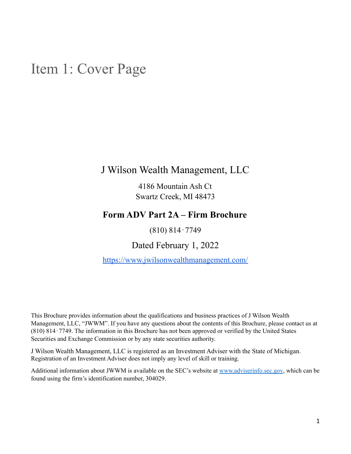### <span id="page-0-0"></span>Item 1: Cover Page

### J Wilson Wealth Management, LLC

4186 Mountain Ash Ct Swartz Creek, MI 48473

### **Form ADV Part 2A – Firm Brochure**

(810) 814‐7749

Dated February 1, 2022

<https://www.jwilsonwealthmanagement.com/>

This Brochure provides information about the qualifications and business practices of J Wilson Wealth Management, LLC, "JWWM". If you have any questions about the contents of this Brochure, please contact us at (810) 814‐7749. The information in this Brochure has not been approved or verified by the United States Securities and Exchange Commission or by any state securities authority.

J Wilson Wealth Management, LLC is registered as an Investment Adviser with the State of Michigan. Registration of an Investment Adviser does not imply any level of skill or training.

Additional information about JWWM is available on the SEC's website at [www.adviserinfo.sec.gov](http://www.adviserinfo.sec.gov), which can be found using the firm's identification number, 304029.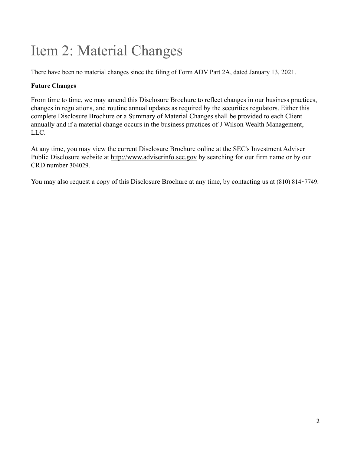# <span id="page-1-0"></span>Item 2: Material Changes

There have been no material changes since the filing of Form ADV Part 2A, dated January 13, 2021.

### **Future Changes**

From time to time, we may amend this Disclosure Brochure to reflect changes in our business practices, changes in regulations, and routine annual updates as required by the securities regulators. Either this complete Disclosure Brochure or a Summary of Material Changes shall be provided to each Client annually and if a material change occurs in the business practices of J Wilson Wealth Management, LLC.

At any time, you may view the current Disclosure Brochure online at the SEC's Investment Adviser Public Disclosure website at [http://www.adviserinfo.sec.gov](http://www.adviserinfo.sec.gov/) by searching for our firm name or by our CRD number 304029.

You may also request a copy of this Disclosure Brochure at any time, by contacting us at (810) 814‐7749.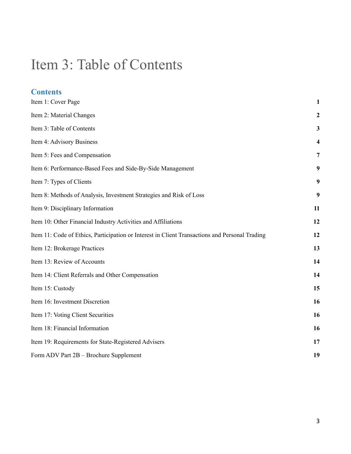## <span id="page-2-0"></span>Item 3: Table of Contents

| <b>Contents</b>                                                                                |                  |
|------------------------------------------------------------------------------------------------|------------------|
| Item 1: Cover Page                                                                             | $\mathbf{1}$     |
| Item 2: Material Changes                                                                       | $\boldsymbol{2}$ |
| Item 3: Table of Contents                                                                      | $\mathbf{3}$     |
| Item 4: Advisory Business                                                                      | 4                |
| Item 5: Fees and Compensation                                                                  | $\overline{7}$   |
| Item 6: Performance-Based Fees and Side-By-Side Management                                     | 9                |
| Item 7: Types of Clients                                                                       | 9                |
| Item 8: Methods of Analysis, Investment Strategies and Risk of Loss                            | 9                |
| Item 9: Disciplinary Information                                                               | 11               |
| Item 10: Other Financial Industry Activities and Affiliations                                  | 12               |
| Item 11: Code of Ethics, Participation or Interest in Client Transactions and Personal Trading | 12               |
| Item 12: Brokerage Practices                                                                   | 13               |
| Item 13: Review of Accounts                                                                    | 14               |
| Item 14: Client Referrals and Other Compensation                                               | 14               |
| Item 15: Custody                                                                               | 15               |
| Item 16: Investment Discretion                                                                 | 16               |
| Item 17: Voting Client Securities                                                              | 16               |
| Item 18: Financial Information                                                                 | 16               |
| Item 19: Requirements for State-Registered Advisers                                            | 17               |
| Form ADV Part 2B - Brochure Supplement                                                         | 19               |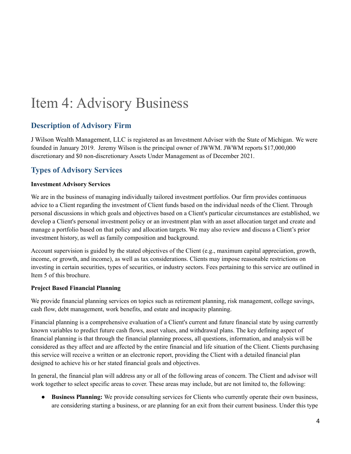## <span id="page-3-0"></span>Item 4: Advisory Business

### **Description of Advisory Firm**

J Wilson Wealth Management, LLC is registered as an Investment Adviser with the State of Michigan. We were founded in January 2019. Jeremy Wilson is the principal owner of JWWM. JWWM reports \$17,000,000 discretionary and \$0 non-discretionary Assets Under Management as of December 2021.

### **Types of Advisory Services**

#### **Investment Advisory Services**

We are in the business of managing individually tailored investment portfolios. Our firm provides continuous advice to a Client regarding the investment of Client funds based on the individual needs of the Client. Through personal discussions in which goals and objectives based on a Client's particular circumstances are established, we develop a Client's personal investment policy or an investment plan with an asset allocation target and create and manage a portfolio based on that policy and allocation targets. We may also review and discuss a Client's prior investment history, as well as family composition and background.

Account supervision is guided by the stated objectives of the Client (e.g., maximum capital appreciation, growth, income, or growth, and income), as well as tax considerations. Clients may impose reasonable restrictions on investing in certain securities, types of securities, or industry sectors. Fees pertaining to this service are outlined in Item 5 of this brochure.

#### **Project Based Financial Planning**

We provide financial planning services on topics such as retirement planning, risk management, college savings, cash flow, debt management, work benefits, and estate and incapacity planning.

Financial planning is a comprehensive evaluation of a Client's current and future financial state by using currently known variables to predict future cash flows, asset values, and withdrawal plans. The key defining aspect of financial planning is that through the financial planning process, all questions, information, and analysis will be considered as they affect and are affected by the entire financial and life situation of the Client. Clients purchasing this service will receive a written or an electronic report, providing the Client with a detailed financial plan designed to achieve his or her stated financial goals and objectives.

In general, the financial plan will address any or all of the following areas of concern. The Client and advisor will work together to select specific areas to cover. These areas may include, but are not limited to, the following:

● **Business Planning:** We provide consulting services for Clients who currently operate their own business, are considering starting a business, or are planning for an exit from their current business. Under this type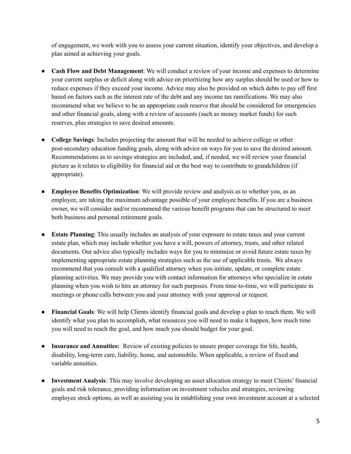of engagement, we work with you to assess your current situation, identify your objectives, and develop a plan aimed at achieving your goals.

- **Cash Flow and Debt Management**: We will conduct a review of your income and expenses to determine your current surplus or deficit along with advice on prioritizing how any surplus should be used or how to reduce expenses if they exceed your income. Advice may also be provided on which debts to pay off first based on factors such as the interest rate of the debt and any income tax ramifications. We may also recommend what we believe to be an appropriate cash reserve that should be considered for emergencies and other financial goals, along with a review of accounts (such as money market funds) for such reserves, plus strategies to save desired amounts.
- **College Savings**: Includes projecting the amount that will be needed to achieve college or other post-secondary education funding goals, along with advice on ways for you to save the desired amount. Recommendations as to savings strategies are included, and, if needed, we will review your financial picture as it relates to eligibility for financial aid or the best way to contribute to grandchildren (if appropriate).
- **Employee Benefits Optimization**: We will provide review and analysis as to whether you, as an employee, are taking the maximum advantage possible of your employee benefits. If you are a business owner, we will consider and/or recommend the various benefit programs that can be structured to meet both business and personal retirement goals.
- **Estate Planning**: This usually includes an analysis of your exposure to estate taxes and your current estate plan, which may include whether you have a will, powers of attorney, trusts, and other related documents. Our advice also typically includes ways for you to minimize or avoid future estate taxes by implementing appropriate estate planning strategies such as the use of applicable trusts. We always recommend that you consult with a qualified attorney when you initiate, update, or complete estate planning activities. We may provide you with contact information for attorneys who specialize in estate planning when you wish to hire an attorney for such purposes. From time-to-time, we will participate in meetings or phone calls between you and your attorney with your approval or request.
- **Financial Goals**: We will help Clients identify financial goals and develop a plan to reach them. We will identify what you plan to accomplish, what resources you will need to make it happen, how much time you will need to reach the goal, and how much you should budget for your goal.
- **Insurance and Annuities:** Review of existing policies to ensure proper coverage for life, health, disability, long-term care, liability, home, and automobile. When applicable, a review of fixed and variable annuities.
- **Investment Analysis**: This may involve developing an asset allocation strategy to meet Clients' financial goals and risk tolerance, providing information on investment vehicles and strategies, reviewing employee stock options, as well as assisting you in establishing your own investment account at a selected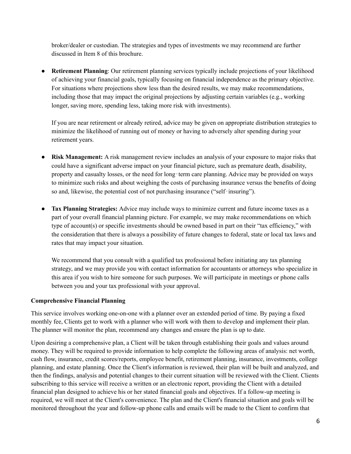broker/dealer or custodian. The strategies and types of investments we may recommend are further discussed in Item 8 of this brochure.

**Retirement Planning**: Our retirement planning services typically include projections of your likelihood of achieving your financial goals, typically focusing on financial independence as the primary objective. For situations where projections show less than the desired results, we may make recommendations, including those that may impact the original projections by adjusting certain variables (e.g., working longer, saving more, spending less, taking more risk with investments).

If you are near retirement or already retired, advice may be given on appropriate distribution strategies to minimize the likelihood of running out of money or having to adversely alter spending during your retirement years.

- **Risk Management:** A risk management review includes an analysis of your exposure to major risks that could have a significant adverse impact on your financial picture, such as premature death, disability, property and casualty losses, or the need for long-term care planning. Advice may be provided on ways to minimize such risks and about weighing the costs of purchasing insurance versus the benefits of doing so and, likewise, the potential cost of not purchasing insurance ("self-insuring").
- **Tax Planning Strategies:** Advice may include ways to minimize current and future income taxes as a part of your overall financial planning picture. For example, we may make recommendations on which type of account(s) or specific investments should be owned based in part on their "tax efficiency," with the consideration that there is always a possibility of future changes to federal, state or local tax laws and rates that may impact your situation.

We recommend that you consult with a qualified tax professional before initiating any tax planning strategy, and we may provide you with contact information for accountants or attorneys who specialize in this area if you wish to hire someone for such purposes. We will participate in meetings or phone calls between you and your tax professional with your approval.

#### **Comprehensive Financial Planning**

This service involves working one-on-one with a planner over an extended period of time. By paying a fixed monthly fee, Clients get to work with a planner who will work with them to develop and implement their plan. The planner will monitor the plan, recommend any changes and ensure the plan is up to date.

Upon desiring a comprehensive plan, a Client will be taken through establishing their goals and values around money. They will be required to provide information to help complete the following areas of analysis: net worth, cash flow, insurance, credit scores/reports, employee benefit, retirement planning, insurance, investments, college planning, and estate planning. Once the Client's information is reviewed, their plan will be built and analyzed, and then the findings, analysis and potential changes to their current situation will be reviewed with the Client. Clients subscribing to this service will receive a written or an electronic report, providing the Client with a detailed financial plan designed to achieve his or her stated financial goals and objectives. If a follow-up meeting is required, we will meet at the Client's convenience. The plan and the Client's financial situation and goals will be monitored throughout the year and follow-up phone calls and emails will be made to the Client to confirm that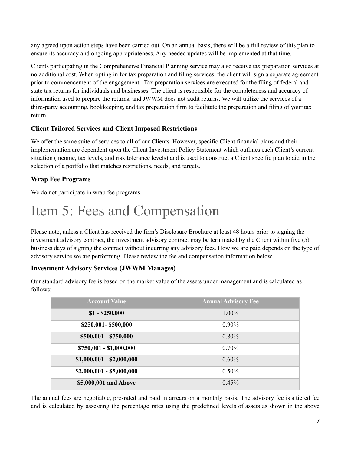any agreed upon action steps have been carried out. On an annual basis, there will be a full review of this plan to ensure its accuracy and ongoing appropriateness. Any needed updates will be implemented at that time.

Clients participating in the Comprehensive Financial Planning service may also receive tax preparation services at no additional cost. When opting in for tax preparation and filing services, the client will sign a separate agreement prior to commencement of the engagement. Tax preparation services are executed for the filing of federal and state tax returns for individuals and businesses. The client is responsible for the completeness and accuracy of information used to prepare the returns, and JWWM does not audit returns. We will utilize the services of a third-party accounting, bookkeeping, and tax preparation firm to facilitate the preparation and filing of your tax return.

#### **Client Tailored Services and Client Imposed Restrictions**

We offer the same suite of services to all of our Clients. However, specific Client financial plans and their implementation are dependent upon the Client Investment Policy Statement which outlines each Client's current situation (income, tax levels, and risk tolerance levels) and is used to construct a Client specific plan to aid in the selection of a portfolio that matches restrictions, needs, and targets.

#### **Wrap Fee Programs**

We do not participate in wrap fee programs.

## <span id="page-6-0"></span>Item 5: Fees and Compensation

Please note, unless a Client has received the firm's Disclosure Brochure at least 48 hours prior to signing the investment advisory contract, the investment advisory contract may be terminated by the Client within five (5) business days of signing the contract without incurring any advisory fees. How we are paid depends on the type of advisory service we are performing. Please review the fee and compensation information below.

#### **Investment Advisory Services (JWWM Manages)**

Our standard advisory fee is based on the market value of the assets under management and is calculated as follows:

| <b>Account Value</b>      | <b>Annual Advisory Fee</b> |
|---------------------------|----------------------------|
| $$1 - $250,000$           | $1.00\%$                   |
| \$250,001-\$500,000       | $0.90\%$                   |
| \$500,001 - \$750,000     | $0.80\%$                   |
| \$750,001 - \$1,000,000   | 0.70%                      |
| $$1,000,001 - $2,000,000$ | $0.60\%$                   |
| $$2,000,001 - $5,000,000$ | $0.50\%$                   |
| \$5,000,001 and Above     | 0.45%                      |

The annual fees are negotiable, pro-rated and paid in arrears on a monthly basis. The advisory fee is a tiered fee and is calculated by assessing the percentage rates using the predefined levels of assets as shown in the above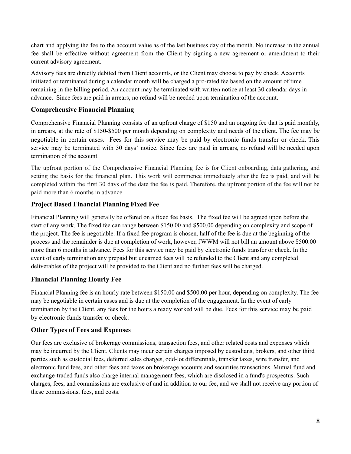chart and applying the fee to the account value as of the last business day of the month. No increase in the annual fee shall be effective without agreement from the Client by signing a new agreement or amendment to their current advisory agreement.

Advisory fees are directly debited from Client accounts, or the Client may choose to pay by check. Accounts initiated or terminated during a calendar month will be charged a pro-rated fee based on the amount of time remaining in the billing period. An account may be terminated with written notice at least 30 calendar days in advance. Since fees are paid in arrears, no refund will be needed upon termination of the account.

#### **Comprehensive Financial Planning**

Comprehensive Financial Planning consists of an upfront charge of \$150 and an ongoing fee that is paid monthly, in arrears, at the rate of \$150-\$500 per month depending on complexity and needs of the client. The fee may be negotiable in certain cases. Fees for this service may be paid by electronic funds transfer or check. This service may be terminated with 30 days' notice. Since fees are paid in arrears, no refund will be needed upon termination of the account.

The upfront portion of the Comprehensive Financial Planning fee is for Client onboarding, data gathering, and setting the basis for the financial plan. This work will commence immediately after the fee is paid, and will be completed within the first 30 days of the date the fee is paid. Therefore, the upfront portion of the fee will not be paid more than 6 months in advance.

#### **Project Based Financial Planning Fixed Fee**

Financial Planning will generally be offered on a fixed fee basis. The fixed fee will be agreed upon before the start of any work. The fixed fee can range between \$150.00 and \$500.00 depending on complexity and scope of the project. The fee is negotiable. If a fixed fee program is chosen, half of the fee is due at the beginning of the process and the remainder is due at completion of work, however, JWWM will not bill an amount above \$500.00 more than 6 months in advance. Fees for this service may be paid by electronic funds transfer or check. In the event of early termination any prepaid but unearned fees will be refunded to the Client and any completed deliverables of the project will be provided to the Client and no further fees will be charged.

#### **Financial Planning Hourly Fee**

Financial Planning fee is an hourly rate between \$150.00 and \$500.00 per hour, depending on complexity. The fee may be negotiable in certain cases and is due at the completion of the engagement. In the event of early termination by the Client, any fees for the hours already worked will be due. Fees for this service may be paid by electronic funds transfer or check.

#### **Other Types of Fees and Expenses**

Our fees are exclusive of brokerage commissions, transaction fees, and other related costs and expenses which may be incurred by the Client. Clients may incur certain charges imposed by custodians, brokers, and other third parties such as custodial fees, deferred sales charges, odd-lot differentials, transfer taxes, wire transfer, and electronic fund fees, and other fees and taxes on brokerage accounts and securities transactions. Mutual fund and exchange-traded funds also charge internal management fees, which are disclosed in a fund's prospectus. Such charges, fees, and commissions are exclusive of and in addition to our fee, and we shall not receive any portion of these commissions, fees, and costs.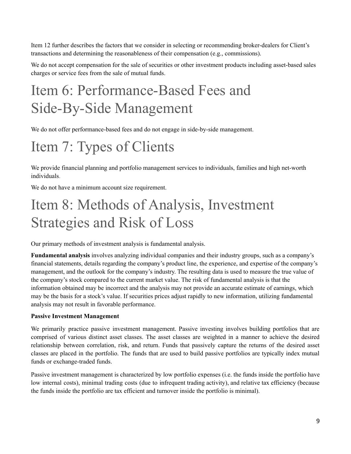Item 12 further describes the factors that we consider in selecting or recommending broker-dealers for Client's transactions and determining the reasonableness of their compensation (e.g., commissions).

We do not accept compensation for the sale of securities or other investment products including asset-based sales charges or service fees from the sale of mutual funds.

## <span id="page-8-0"></span>Item 6: Performance-Based Fees and Side-By-Side Management

We do not offer performance-based fees and do not engage in side-by-side management.

# <span id="page-8-1"></span>Item 7: Types of Clients

We provide financial planning and portfolio management services to individuals, families and high net-worth individuals.

We do not have a minimum account size requirement.

## <span id="page-8-2"></span>Item 8: Methods of Analysis, Investment Strategies and Risk of Loss

Our primary methods of investment analysis is fundamental analysis.

**Fundamental analysis** involves analyzing individual companies and their industry groups, such as a company's financial statements, details regarding the company's product line, the experience, and expertise of the company's management, and the outlook for the company's industry. The resulting data is used to measure the true value of the company's stock compared to the current market value. The risk of fundamental analysis is that the information obtained may be incorrect and the analysis may not provide an accurate estimate of earnings, which may be the basis for a stock's value. If securities prices adjust rapidly to new information, utilizing fundamental analysis may not result in favorable performance.

#### **Passive Investment Management**

We primarily practice passive investment management. Passive investing involves building portfolios that are comprised of various distinct asset classes. The asset classes are weighted in a manner to achieve the desired relationship between correlation, risk, and return. Funds that passively capture the returns of the desired asset classes are placed in the portfolio. The funds that are used to build passive portfolios are typically index mutual funds or exchange-traded funds.

Passive investment management is characterized by low portfolio expenses (i.e. the funds inside the portfolio have low internal costs), minimal trading costs (due to infrequent trading activity), and relative tax efficiency (because the funds inside the portfolio are tax efficient and turnover inside the portfolio is minimal).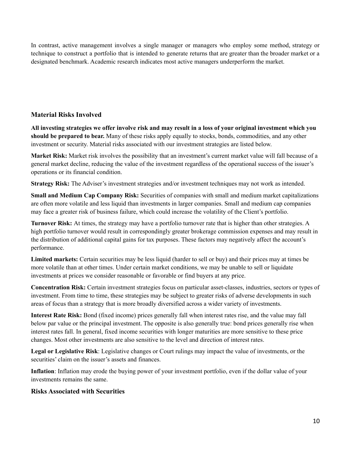In contrast, active management involves a single manager or managers who employ some method, strategy or technique to construct a portfolio that is intended to generate returns that are greater than the broader market or a designated benchmark. Academic research indicates most active managers underperform the market.

#### **Material Risks Involved**

All investing strategies we offer involve risk and may result in a loss of your original investment which you **should be prepared to bear.** Many of these risks apply equally to stocks, bonds, commodities, and any other investment or security. Material risks associated with our investment strategies are listed below.

**Market Risk:** Market risk involves the possibility that an investment's current market value will fall because of a general market decline, reducing the value of the investment regardless of the operational success of the issuer's operations or its financial condition.

**Strategy Risk:** The Adviser's investment strategies and/or investment techniques may not work as intended.

**Small and Medium Cap Company Risk:** Securities of companies with small and medium market capitalizations are often more volatile and less liquid than investments in larger companies. Small and medium cap companies may face a greater risk of business failure, which could increase the volatility of the Client's portfolio.

**Turnover Risk:** At times, the strategy may have a portfolio turnover rate that is higher than other strategies. A high portfolio turnover would result in correspondingly greater brokerage commission expenses and may result in the distribution of additional capital gains for tax purposes. These factors may negatively affect the account's performance.

**Limited markets:** Certain securities may be less liquid (harder to sell or buy) and their prices may at times be more volatile than at other times. Under certain market conditions, we may be unable to sell or liquidate investments at prices we consider reasonable or favorable or find buyers at any price.

**Concentration Risk:** Certain investment strategies focus on particular asset-classes, industries, sectors or types of investment. From time to time, these strategies may be subject to greater risks of adverse developments in such areas of focus than a strategy that is more broadly diversified across a wider variety of investments.

**Interest Rate Risk:** Bond (fixed income) prices generally fall when interest rates rise, and the value may fall below par value or the principal investment. The opposite is also generally true: bond prices generally rise when interest rates fall. In general, fixed income securities with longer maturities are more sensitive to these price changes. Most other investments are also sensitive to the level and direction of interest rates.

**Legal or Legislative Risk**: Legislative changes or Court rulings may impact the value of investments, or the securities' claim on the issuer's assets and finances.

**Inflation**: Inflation may erode the buying power of your investment portfolio, even if the dollar value of your investments remains the same.

#### **Risks Associated with Securities**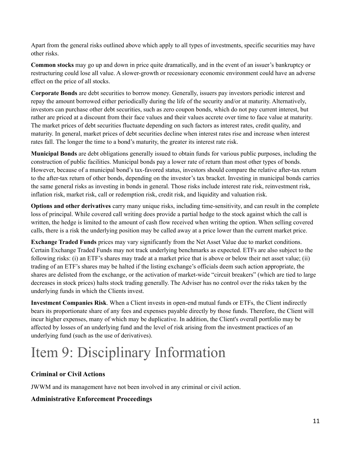Apart from the general risks outlined above which apply to all types of investments, specific securities may have other risks.

**Common stocks** may go up and down in price quite dramatically, and in the event of an issuer's bankruptcy or restructuring could lose all value. A slower-growth or recessionary economic environment could have an adverse effect on the price of all stocks.

**Corporate Bonds** are debt securities to borrow money. Generally, issuers pay investors periodic interest and repay the amount borrowed either periodically during the life of the security and/or at maturity. Alternatively, investors can purchase other debt securities, such as zero coupon bonds, which do not pay current interest, but rather are priced at a discount from their face values and their values accrete over time to face value at maturity. The market prices of debt securities fluctuate depending on such factors as interest rates, credit quality, and maturity. In general, market prices of debt securities decline when interest rates rise and increase when interest rates fall. The longer the time to a bond's maturity, the greater its interest rate risk.

**Municipal Bonds** are debt obligations generally issued to obtain funds for various public purposes, including the construction of public facilities. Municipal bonds pay a lower rate of return than most other types of bonds. However, because of a municipal bond's tax-favored status, investors should compare the relative after-tax return to the after-tax return of other bonds, depending on the investor's tax bracket. Investing in municipal bonds carries the same general risks as investing in bonds in general. Those risks include interest rate risk, reinvestment risk, inflation risk, market risk, call or redemption risk, credit risk, and liquidity and valuation risk.

**Options and other derivatives** carry many unique risks, including time-sensitivity, and can result in the complete loss of principal. While covered call writing does provide a partial hedge to the stock against which the call is written, the hedge is limited to the amount of cash flow received when writing the option. When selling covered calls, there is a risk the underlying position may be called away at a price lower than the current market price.

**Exchange Traded Funds** prices may vary significantly from the Net Asset Value due to market conditions. Certain Exchange Traded Funds may not track underlying benchmarks as expected. ETFs are also subject to the following risks: (i) an ETF's shares may trade at a market price that is above or below their net asset value; (ii) trading of an ETF's shares may be halted if the listing exchange's officials deem such action appropriate, the shares are delisted from the exchange, or the activation of market-wide "circuit breakers" (which are tied to large decreases in stock prices) halts stock trading generally. The Adviser has no control over the risks taken by the underlying funds in which the Clients invest.

**Investment Companies Risk**. When a Client invests in open-end mutual funds or ETFs, the Client indirectly bears its proportionate share of any fees and expenses payable directly by those funds. Therefore, the Client will incur higher expenses, many of which may be duplicative. In addition, the Client's overall portfolio may be affected by losses of an underlying fund and the level of risk arising from the investment practices of an underlying fund (such as the use of derivatives).

# <span id="page-10-0"></span>Item 9: Disciplinary Information

#### **Criminal or Civil Actions**

JWWM and its management have not been involved in any criminal or civil action.

#### **Administrative Enforcement Proceedings**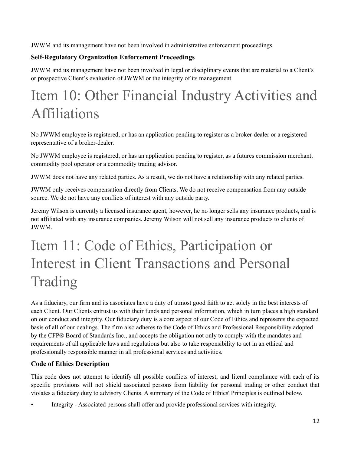JWWM and its management have not been involved in administrative enforcement proceedings.

### **Self-Regulatory Organization Enforcement Proceedings**

JWWM and its management have not been involved in legal or disciplinary events that are material to a Client's or prospective Client's evaluation of JWWM or the integrity of its management.

## <span id="page-11-0"></span>Item 10: Other Financial Industry Activities and Affiliations

No JWWM employee is registered, or has an application pending to register as a broker-dealer or a registered representative of a broker-dealer.

No JWWM employee is registered, or has an application pending to register, as a futures commission merchant, commodity pool operator or a commodity trading advisor.

JWWM does not have any related parties. As a result, we do not have a relationship with any related parties.

JWWM only receives compensation directly from Clients. We do not receive compensation from any outside source. We do not have any conflicts of interest with any outside party.

Jeremy Wilson is currently a licensed insurance agent, however, he no longer sells any insurance products, and is not affiliated with any insurance companies. Jeremy Wilson will not sell any insurance products to clients of JWWM.

## Item 11: Code of Ethics, Participation or Interest in Client Transactions and Personal Trading

<span id="page-11-1"></span>As a fiduciary, our firm and its associates have a duty of utmost good faith to act solely in the best interests of each Client. Our Clients entrust us with their funds and personal information, which in turn places a high standard on our conduct and integrity. Our fiduciary duty is a core aspect of our Code of Ethics and represents the expected basis of all of our dealings. The firm also adheres to the Code of Ethics and Professional Responsibility adopted by the CFP® Board of Standards Inc., and accepts the obligation not only to comply with the mandates and requirements of all applicable laws and regulations but also to take responsibility to act in an ethical and professionally responsible manner in all professional services and activities.

#### **Code of Ethics Description**

This code does not attempt to identify all possible conflicts of interest, and literal compliance with each of its specific provisions will not shield associated persons from liability for personal trading or other conduct that violates a fiduciary duty to advisory Clients. A summary of the Code of Ethics' Principles is outlined below.

• Integrity - Associated persons shall offer and provide professional services with integrity.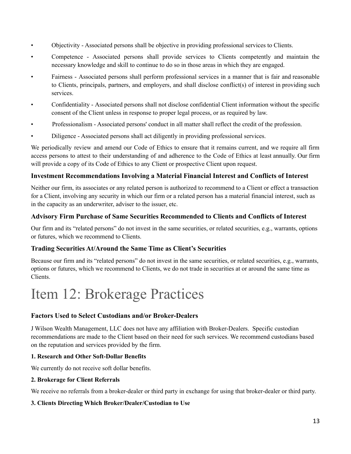- Objectivity Associated persons shall be objective in providing professional services to Clients.
- Competence Associated persons shall provide services to Clients competently and maintain the necessary knowledge and skill to continue to do so in those areas in which they are engaged.
- Fairness Associated persons shall perform professional services in a manner that is fair and reasonable to Clients, principals, partners, and employers, and shall disclose conflict(s) of interest in providing such services.
- Confidentiality Associated persons shall not disclose confidential Client information without the specific consent of the Client unless in response to proper legal process, or as required by law.
- Professionalism Associated persons' conduct in all matter shall reflect the credit of the profession.
- Diligence Associated persons shall act diligently in providing professional services.

We periodically review and amend our Code of Ethics to ensure that it remains current, and we require all firm access persons to attest to their understanding of and adherence to the Code of Ethics at least annually. Our firm will provide a copy of its Code of Ethics to any Client or prospective Client upon request.

#### **Investment Recommendations Involving a Material Financial Interest and Conflicts of Interest**

Neither our firm, its associates or any related person is authorized to recommend to a Client or effect a transaction for a Client, involving any security in which our firm or a related person has a material financial interest, such as in the capacity as an underwriter, adviser to the issuer, etc.

#### **Advisory Firm Purchase of Same Securities Recommended to Clients and Conflicts of Interest**

Our firm and its "related persons" do not invest in the same securities, or related securities, e.g., warrants, options or futures, which we recommend to Clients.

#### **Trading Securities At/Around the Same Time as Client's Securities**

Because our firm and its "related persons" do not invest in the same securities, or related securities, e.g., warrants, options or futures, which we recommend to Clients, we do not trade in securities at or around the same time as Clients.

### <span id="page-12-0"></span>Item 12: Brokerage Practices

#### **Factors Used to Select Custodians and/or Broker-Dealers**

J Wilson Wealth Management, LLC does not have any affiliation with Broker-Dealers. Specific custodian recommendations are made to the Client based on their need for such services. We recommend custodians based on the reputation and services provided by the firm.

#### **1. Research and Other Soft-Dollar Benefits**

We currently do not receive soft dollar benefits.

#### **2. Brokerage for Client Referrals**

We receive no referrals from a broker-dealer or third party in exchange for using that broker-dealer or third party.

#### **3. Clients Directing Which Broker/Dealer/Custodian to Use**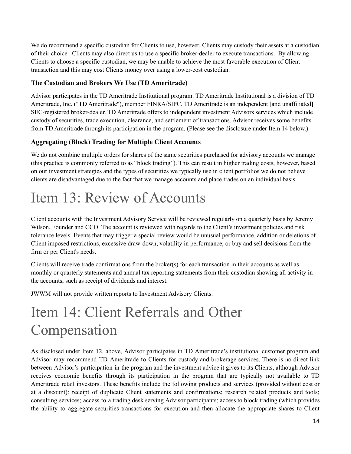We do recommend a specific custodian for Clients to use, however, Clients may custody their assets at a custodian of their choice. Clients may also direct us to use a specific broker-dealer to execute transactions. By allowing Clients to choose a specific custodian, we may be unable to achieve the most favorable execution of Client transaction and this may cost Clients money over using a lower-cost custodian.

#### **The Custodian and Brokers We Use (TD Ameritrade)**

Advisor participates in the TD Ameritrade Institutional program. TD Ameritrade Institutional is a division of TD Ameritrade, Inc. ("TD Ameritrade"), member FINRA/SIPC. TD Ameritrade is an independent [and unaffiliated] SEC-registered broker-dealer. TD Ameritrade offers to independent investment Advisors services which include custody of securities, trade execution, clearance, and settlement of transactions. Advisor receives some benefits from TD Ameritrade through its participation in the program. (Please see the disclosure under Item 14 below.)

#### **Aggregating (Block) Trading for Multiple Client Accounts**

We do not combine multiple orders for shares of the same securities purchased for advisory accounts we manage (this practice is commonly referred to as "block trading"). This can result in higher trading costs, however, based on our investment strategies and the types of securities we typically use in client portfolios we do not believe clients are disadvantaged due to the fact that we manage accounts and place trades on an individual basis.

## <span id="page-13-0"></span>Item 13: Review of Accounts

Client accounts with the Investment Advisory Service will be reviewed regularly on a quarterly basis by Jeremy Wilson, Founder and CCO. The account is reviewed with regards to the Client's investment policies and risk tolerance levels. Events that may trigger a special review would be unusual performance, addition or deletions of Client imposed restrictions, excessive draw-down, volatility in performance, or buy and sell decisions from the firm or per Client's needs.

Clients will receive trade confirmations from the broker(s) for each transaction in their accounts as well as monthly or quarterly statements and annual tax reporting statements from their custodian showing all activity in the accounts, such as receipt of dividends and interest.

JWWM will not provide written reports to Investment Advisory Clients.

## <span id="page-13-1"></span>Item 14: Client Referrals and Other Compensation

As disclosed under Item 12, above, Advisor participates in TD Ameritrade's institutional customer program and Advisor may recommend TD Ameritrade to Clients for custody and brokerage services. There is no direct link between Advisor's participation in the program and the investment advice it gives to its Clients, although Advisor receives economic benefits through its participation in the program that are typically not available to TD Ameritrade retail investors. These benefits include the following products and services (provided without cost or at a discount): receipt of duplicate Client statements and confirmations; research related products and tools; consulting services; access to a trading desk serving Advisor participants; access to block trading (which provides the ability to aggregate securities transactions for execution and then allocate the appropriate shares to Client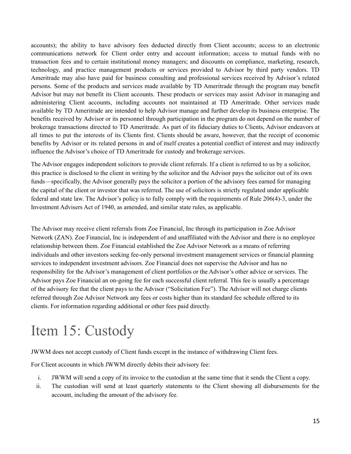accounts); the ability to have advisory fees deducted directly from Client accounts; access to an electronic communications network for Client order entry and account information; access to mutual funds with no transaction fees and to certain institutional money managers; and discounts on compliance, marketing, research, technology, and practice management products or services provided to Advisor by third party vendors. TD Ameritrade may also have paid for business consulting and professional services received by Advisor's related persons. Some of the products and services made available by TD Ameritrade through the program may benefit Advisor but may not benefit its Client accounts. These products or services may assist Advisor in managing and administering Client accounts, including accounts not maintained at TD Ameritrade. Other services made available by TD Ameritrade are intended to help Advisor manage and further develop its business enterprise. The benefits received by Advisor or its personnel through participation in the program do not depend on the number of brokerage transactions directed to TD Ameritrade. As part of its fiduciary duties to Clients, Advisor endeavors at all times to put the interests of its Clients first. Clients should be aware, however, that the receipt of economic benefits by Advisor or its related persons in and of itself creates a potential conflict of interest and may indirectly influence the Advisor's choice of TD Ameritrade for custody and brokerage services.

The Advisor engages independent solicitors to provide client referrals. If a client is referred to us by a solicitor, this practice is disclosed to the client in writing by the solicitor and the Advisor pays the solicitor out of its own funds—specifically, the Advisor generally pays the solicitor a portion of the advisory fees earned for managing the capital of the client or investor that was referred. The use of solicitors is strictly regulated under applicable federal and state law. The Advisor's policy is to fully comply with the requirements of Rule 206(4)-3, under the Investment Advisers Act of 1940, as amended, and similar state rules, as applicable.

The Advisor may receive client referrals from Zoe Financial, Inc through its participation in Zoe Advisor Network (ZAN). Zoe Financial, Inc is independent of and unaffiliated with the Advisor and there is no employee relationship between them. Zoe Financial established the Zoe Advisor Network as a means of referring individuals and other investors seeking fee-only personal investment management services or financial planning services to independent investment advisors. Zoe Financial does not supervise the Advisor and has no responsibility for the Advisor's management of client portfolios or the Advisor's other advice or services. The Advisor pays Zoe Financial an on-going fee for each successful client referral. This fee is usually a percentage of the advisory fee that the client pays to the Advisor ("Solicitation Fee"). The Advisor will not charge clients referred through Zoe Advisor Network any fees or costs higher than its standard fee schedule offered to its clients. For information regarding additional or other fees paid directly.

## <span id="page-14-0"></span>Item 15: Custody

JWWM does not accept custody of Client funds except in the instance of withdrawing Client fees.

For Client accounts in which JWWM directly debits their advisory fee:

- i. JWWM will send a copy of its invoice to the custodian at the same time that it sends the Client a copy.
- ii. The custodian will send at least quarterly statements to the Client showing all disbursements for the account, including the amount of the advisory fee.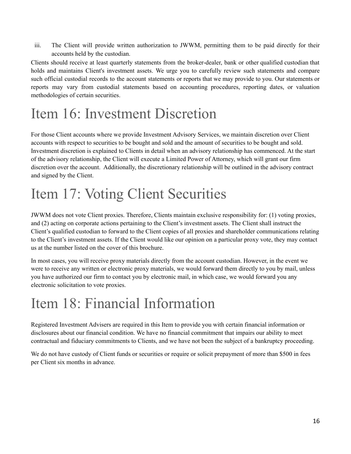iii. The Client will provide written authorization to JWWM, permitting them to be paid directly for their accounts held by the custodian.

Clients should receive at least quarterly statements from the broker-dealer, bank or other qualified custodian that holds and maintains Client's investment assets. We urge you to carefully review such statements and compare such official custodial records to the account statements or reports that we may provide to you. Our statements or reports may vary from custodial statements based on accounting procedures, reporting dates, or valuation methodologies of certain securities.

# <span id="page-15-0"></span>Item 16: Investment Discretion

For those Client accounts where we provide Investment Advisory Services, we maintain discretion over Client accounts with respect to securities to be bought and sold and the amount of securities to be bought and sold. Investment discretion is explained to Clients in detail when an advisory relationship has commenced. At the start of the advisory relationship, the Client will execute a Limited Power of Attorney, which will grant our firm discretion over the account. Additionally, the discretionary relationship will be outlined in the advisory contract and signed by the Client.

## <span id="page-15-1"></span>Item 17: Voting Client Securities

JWWM does not vote Client proxies. Therefore, Clients maintain exclusive responsibility for: (1) voting proxies, and (2) acting on corporate actions pertaining to the Client's investment assets. The Client shall instruct the Client's qualified custodian to forward to the Client copies of all proxies and shareholder communications relating to the Client's investment assets. If the Client would like our opinion on a particular proxy vote, they may contact us at the number listed on the cover of this brochure.

In most cases, you will receive proxy materials directly from the account custodian. However, in the event we were to receive any written or electronic proxy materials, we would forward them directly to you by mail, unless you have authorized our firm to contact you by electronic mail, in which case, we would forward you any electronic solicitation to vote proxies.

## <span id="page-15-2"></span>Item 18: Financial Information

Registered Investment Advisers are required in this Item to provide you with certain financial information or disclosures about our financial condition. We have no financial commitment that impairs our ability to meet contractual and fiduciary commitments to Clients, and we have not been the subject of a bankruptcy proceeding.

We do not have custody of Client funds or securities or require or solicit prepayment of more than \$500 in fees per Client six months in advance.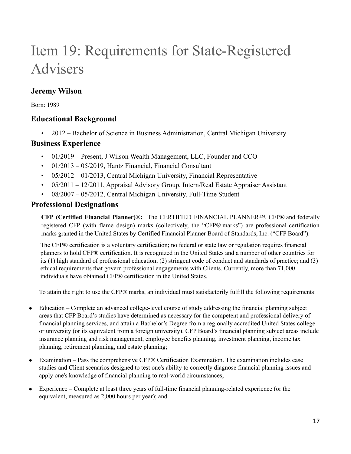# <span id="page-16-0"></span>Item 19: Requirements for State-Registered Advisers

### **Jeremy Wilson**

Born: 1989

### **Educational Background**

• 2012 – Bachelor of Science in Business Administration, Central Michigan University

### **Business Experience**

- 01/2019 Present, J Wilson Wealth Management, LLC, Founder and CCO
- 01/2013 05/2019, Hantz Financial, Financial Consultant
- $\cdot$  05/2012 01/2013, Central Michigan University, Financial Representative
- 05/2011 12/2011, Appraisal Advisory Group, Intern/Real Estate Appraiser Assistant
- 08/2007 05/2012, Central Michigan University, Full-Time Student

### **Professional Designations**

**CFP (Certified Financial Planner)**®**:** The CERTIFIED FINANCIAL PLANNER™, CFP® and federally registered CFP (with flame design) marks (collectively, the "CFP® marks") are professional certification marks granted in the United States by Certified Financial Planner Board of Standards, Inc. ("CFP Board").

The CFP® certification is a voluntary certification; no federal or state law or regulation requires financial planners to hold CFP® certification. It is recognized in the United States and a number of other countries for its (1) high standard of professional education; (2) stringent code of conduct and standards of practice; and (3) ethical requirements that govern professional engagements with Clients. Currently, more than 71,000 individuals have obtained CFP® certification in the United States.

To attain the right to use the CFP® marks, an individual must satisfactorily fulfill the following requirements:

- Education Complete an advanced college-level course of study addressing the financial planning subject areas that CFP Board's studies have determined as necessary for the competent and professional delivery of financial planning services, and attain a Bachelor's Degree from a regionally accredited United States college or university (or its equivalent from a foreign university). CFP Board's financial planning subject areas include insurance planning and risk management, employee benefits planning, investment planning, income tax planning, retirement planning, and estate planning;
- Examination Pass the comprehensive CFP® Certification Examination. The examination includes case studies and Client scenarios designed to test one's ability to correctly diagnose financial planning issues and apply one's knowledge of financial planning to real-world circumstances;
- Experience Complete at least three years of full-time financial planning-related experience (or the equivalent, measured as 2,000 hours per year); and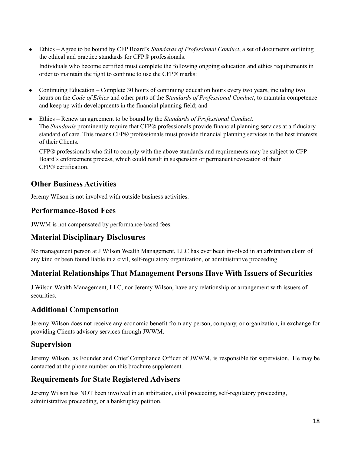- Ethics Agree to be bound by CFP Board's *Standards of Professional Conduct*, a set of documents outlining the ethical and practice standards for CFP® professionals. Individuals who become certified must complete the following ongoing education and ethics requirements in order to maintain the right to continue to use the CFP® marks:
- Continuing Education Complete 30 hours of continuing education hours every two years, including two hours on the *Code of Ethics* and other parts of the S*tandards of Professional Conduct*, to maintain competence and keep up with developments in the financial planning field; and
- Ethics Renew an agreement to be bound by the *Standards of Professional Conduct*. The *Standards* prominently require that CFP® professionals provide financial planning services at a fiduciary standard of care. This means CFP® professionals must provide financial planning services in the best interests of their Clients.

CFP® professionals who fail to comply with the above standards and requirements may be subject to CFP Board's enforcement process, which could result in suspension or permanent revocation of their CFP® certification.

### **Other Business Activities**

Jeremy Wilson is not involved with outside business activities.

### **Performance-Based Fees**

JWWM is not compensated by performance-based fees.

### **Material Disciplinary Disclosures**

No management person at J Wilson Wealth Management, LLC has ever been involved in an arbitration claim of any kind or been found liable in a civil, self-regulatory organization, or administrative proceeding.

### **Material Relationships That Management Persons Have With Issuers of Securities**

J Wilson Wealth Management, LLC, nor Jeremy Wilson, have any relationship or arrangement with issuers of securities.

### **Additional Compensation**

Jeremy Wilson does not receive any economic benefit from any person, company, or organization, in exchange for providing Clients advisory services through JWWM.

### **Supervision**

Jeremy Wilson, as Founder and Chief Compliance Officer of JWWM, is responsible for supervision. He may be contacted at the phone number on this brochure supplement.

### **Requirements for State Registered Advisers**

Jeremy Wilson has NOT been involved in an arbitration, civil proceeding, self-regulatory proceeding, administrative proceeding, or a bankruptcy petition.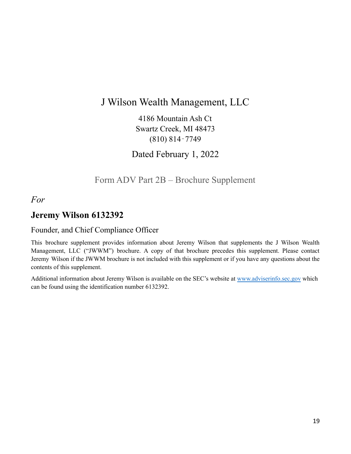### J Wilson Wealth Management, LLC

4186 Mountain Ash Ct Swartz Creek, MI 48473 (810) 814‐7749

Dated February 1, 2022

Form ADV Part 2B – Brochure Supplement

<span id="page-18-0"></span>*For*

### **Jeremy Wilson 6132392**

#### Founder, and Chief Compliance Officer

This brochure supplement provides information about Jeremy Wilson that supplements the J Wilson Wealth Management, LLC ("JWWM") brochure. A copy of that brochure precedes this supplement. Please contact Jeremy Wilson if the JWWM brochure is not included with this supplement or if you have any questions about the contents of this supplement.

Additional information about Jeremy Wilson is available on the SEC's website at [www.adviserinfo.sec.gov](http://www.adviserinfo.sec.gov) which can be found using the identification number 6132392.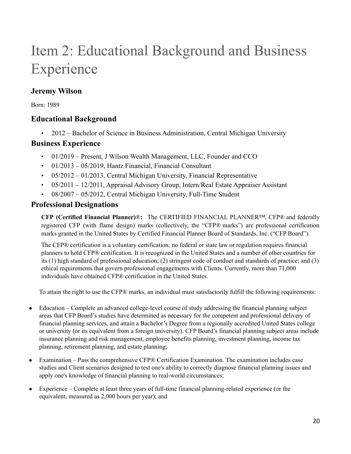# Item 2: Educational Background and Business Experience

### **Jeremy Wilson**

Born: 1989

### **Educational Background**

• 2012 – Bachelor of Science in Business Administration, Central Michigan University

### **Business Experience**

- 01/2019 Present, J Wilson Wealth Management, LLC, Founder and CCO
- 01/2013 05/2019, Hantz Financial, Financial Consultant
- $\cdot$  05/2012 01/2013, Central Michigan University, Financial Representative
- 05/2011 12/2011, Appraisal Advisory Group, Intern/Real Estate Appraiser Assistant
- 08/2007 05/2012, Central Michigan University, Full-Time Student

### **Professional Designations**

**CFP (Certified Financial Planner)**®**:** The CERTIFIED FINANCIAL PLANNER™, CFP® and federally registered CFP (with flame design) marks (collectively, the "CFP® marks") are professional certification marks granted in the United States by Certified Financial Planner Board of Standards, Inc. ("CFP Board").

The CFP® certification is a voluntary certification; no federal or state law or regulation requires financial planners to hold CFP® certification. It is recognized in the United States and a number of other countries for its (1) high standard of professional education; (2) stringent code of conduct and standards of practice; and (3) ethical requirements that govern professional engagements with Clients. Currently, more than 71,000 individuals have obtained CFP® certification in the United States.

To attain the right to use the CFP® marks, an individual must satisfactorily fulfill the following requirements:

- Education Complete an advanced college-level course of study addressing the financial planning subject areas that CFP Board's studies have determined as necessary for the competent and professional delivery of financial planning services, and attain a Bachelor's Degree from a regionally accredited United States college or university (or its equivalent from a foreign university). CFP Board's financial planning subject areas include insurance planning and risk management, employee benefits planning, investment planning, income tax planning, retirement planning, and estate planning;
- Examination Pass the comprehensive CFP® Certification Examination. The examination includes case studies and Client scenarios designed to test one's ability to correctly diagnose financial planning issues and apply one's knowledge of financial planning to real-world circumstances;
- Experience Complete at least three years of full-time financial planning-related experience (or the equivalent, measured as 2,000 hours per year); and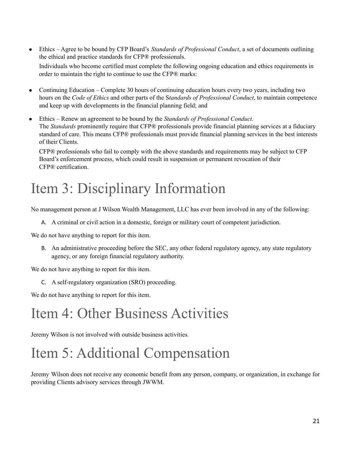- Ethics Agree to be bound by CFP Board's *Standards of Professional Conduct*, a set of documents outlining the ethical and practice standards for CFP® professionals. Individuals who become certified must complete the following ongoing education and ethics requirements in order to maintain the right to continue to use the CFP® marks:
- Continuing Education Complete 30 hours of continuing education hours every two years, including two hours on the *Code of Ethics* and other parts of the S*tandards of Professional Conduct*, to maintain competence and keep up with developments in the financial planning field; and
- Ethics Renew an agreement to be bound by the *Standards of Professional Conduct*. The *Standards* prominently require that CFP® professionals provide financial planning services at a fiduciary standard of care. This means CFP® professionals must provide financial planning services in the best interests of their Clients.

CFP® professionals who fail to comply with the above standards and requirements may be subject to CFP Board's enforcement process, which could result in suspension or permanent revocation of their CFP® certification.

## Item 3: Disciplinary Information

No management person at J Wilson Wealth Management, LLC has ever been involved in any of the following:

A. A criminal or civil action in a domestic, foreign or military court of competent jurisdiction.

We do not have anything to report for this item.

B. An administrative proceeding before the SEC, any other federal regulatory agency, any state regulatory agency, or any foreign financial regulatory authority.

We do not have anything to report for this item.

C. A self-regulatory organization (SRO) proceeding.

We do not have anything to report for this item.

## Item 4: Other Business Activities

Jeremy Wilson is not involved with outside business activities.

## Item 5: Additional Compensation

Jeremy Wilson does not receive any economic benefit from any person, company, or organization, in exchange for providing Clients advisory services through JWWM.